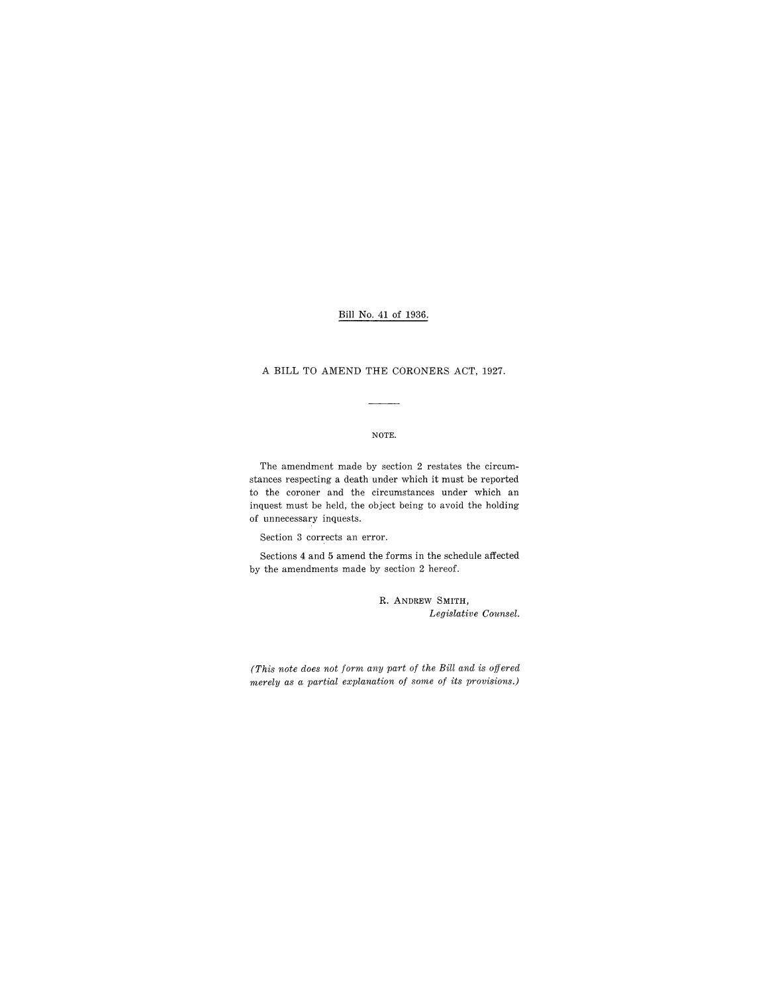## Bill No. 41 of 1936.

### A BILL TO AMEND THE CORONERS ACT, 1927.

### NOTE.

The amendment made by section 2 restates the circumstances respecting a death under which it must be reported to the coroner and the circumstances under which an inquest must be held, the object being to avoid the holding of unnecessary inquests.

Section 3 corrects an error.

Sections 4 and 5 amend the forms in the schedule affected by the amendments made by section 2 hereof.

> R. ANDREW SMITH, *Legislative Counsel.*

*(This note does not form any part of the Bill and is offered merely as a partial explanation of some of its provisions.)*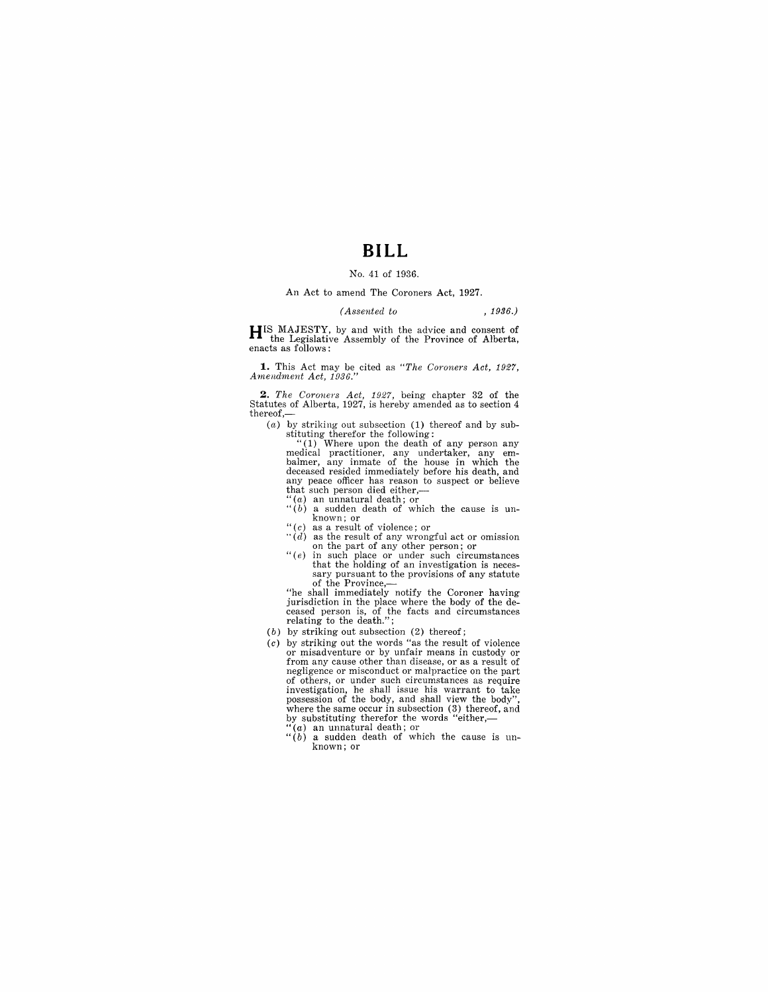# **BILL**

#### No. 41 of 1936.

#### An Act to amend The Coroners Act, 1927.

#### *(Assented to* , 1936.)

**H**IS MAJESTY, by and with the advice and consent of the Legislative Assembly of the Province of Alberta, enacts as follows:

**1.** This Act may be cited as *"The Coroners Act, 1927, Amendment Act, 1936."* 

*2. The Coroners Act,* 1927, being chapter 32 of the Statutes of Alberta, 1927, is hereby amended as to section 4 thereof,—<br>(a) by striking out subsection (1) thereof and by sub-

(a) by striking out subsection (1) thereof and by sub-stituting therefor the following: "(1) Where upon the death of any person any

medical practitioner, any undertaker, any em-<br>balmer, any inmate of the house in which the<br>deceased resided immediately before his death, and<br>any peace officer has reason to suspect or believe that such person died either,—

- "(a) an unnatural death; or
- $``(b)$  a sudden death of which the cause is un- $\frac{1}{100}$  known; or<br>"(c) as a result of violence: or
- 
- $\cdot \cdot \cdot (d)$  as the result of any wrongful act or omission on the part of any other person; or
- $" (e)$  in such place or under such circumstances that the holding of an investigation is necessary pursuant to the provisions of any statute sary pursuant to the provisions of any statute<br>of the Province,—

"he shall immediately notify the Coroner having jurisdiction in the place where the body of the deceased person is, of the facts and circumstances relating to the death.";

- 
- (b) by striking out subsection (2) thereof;<br>(c) by striking out the words "as the result of violence or misadventure or by unfair means in custody or from any cause other than disease, or as a result of negligence or misconduct or malpractice on the part of others, or under such circumstances as require investigation, he shall issue his warrant to take possession of the body, and shall view the body", where the same occur in subsection (3) thereof, and by substituting therefor the words "either,-<br> $\binom{a}{a}$  an unnatural death;
	-
	- $\binom{6}{b}$  an unnatural death; or<br> $\binom{6}{b}$  a sudden death of which the cause is unknown; or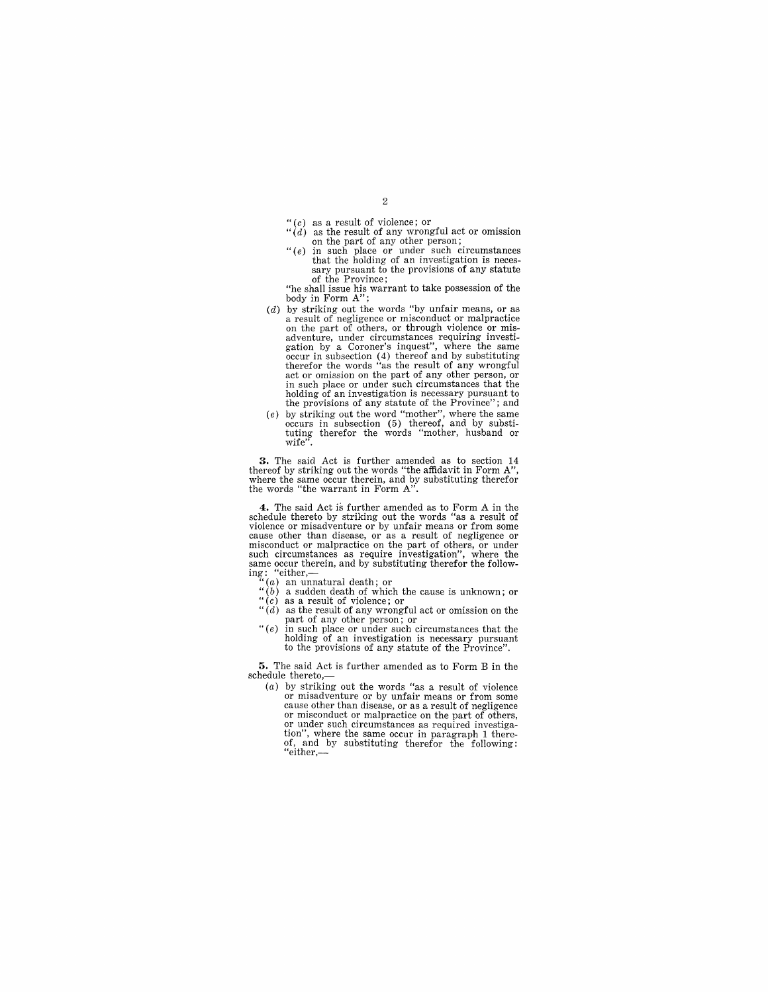- 
- 
- $\binom{u}{d}$  as a result of violence; or<br>  $\binom{u}{d}$  as the result of any wrongful act or omission<br>
on the part of any other person;<br>  $\binom{u}{e}$  in such place or under such circumstances<br>
that the holding of an investigatio of the Province;

"he shall issue his warrant to take possession of the body in Form A";

- $(d)$  by striking out the words "by unfair means, or as by striking out the words of negligence or misconduct or malpractice on the part of others, or through violence or misadventure, under circumstances requiring investigation by a Coroner's inquest'', where the same occur in subsection (4) thereof and by substituting therefor the words "as the result of any wrongful act or omission on the p holding of an investigation is necessary pursuant to the provisions of any statute of the Province"; and
- (e) by striking out the word "mother", where the same occurs in subsection (5) thereof, and by substituting therefor the words "mother, husband or wife".

**3.** The said Act is further amended as to section 14 thereof by striking out the words "the affidavit in Form  $A$ ", where the same occur therein, and by substituting therefor the words "the warrant in Form  $A$ ".

**4.** The said Act is further amended as to Form A in the schedule thereto by striking out the words "as a result of violence or misadventure or by unfair means or from some cause other than disease, or as a result of negligence or misconduct or malpractice on the part of others, or under such circumstances as require investigation", where the same occur therein, and by substituting therefor the follow-<br>ing: "either, ing: "either,—<br>"(*a*) an unnatural death; or

- 
- 
- " (b) a sudden death of which the cause is unknown; or " (c) as a result of violence; or *"(d)* as the result of any wrongful act or omission on the part of any other person; or
- $\mathcal{L}(e)$  in such place or under such circumstances that the holding of an investigation is necessary pursuant to the provisions of any statute of the Province".

5. The said Act is further amended as to Form B in the schedule thereto,— $(a)$  by striking out the words "as a result of violence

by surfaint and as a result of rom some<br>cause other than disease, or as a result of negligence<br>cause other than disease, or as a result of negligence<br>or misconduct or malpractice on the part of others,<br>or under such circum tion", where the same occur in paragraph 1 thereof, and by substituting therefor the following: "either,-

 $\overline{2}$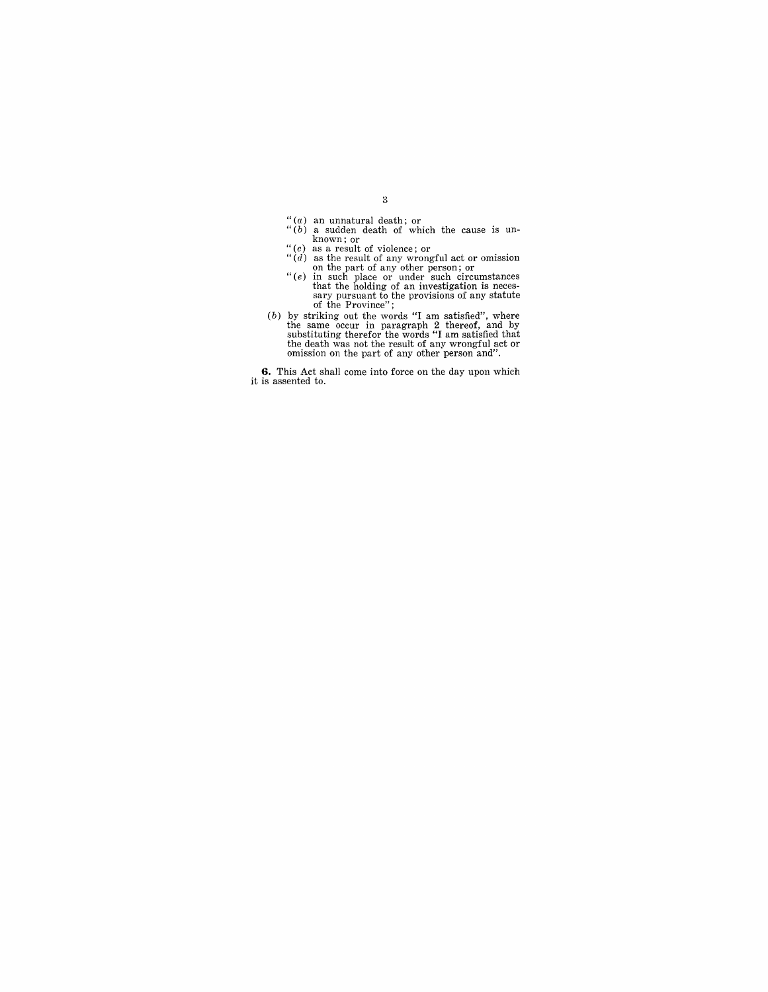- 
- $\binom{u}{b}$  an unnatural death; or  $b$  of which the cause is un-<br>known; or
- 
- $\binom{u}{d}$  as the result of violence; or  $\binom{u}{d}$  as the result of any wrongful act or omission on the part of any other person; or  $\binom{u}{e}$  in such place or under such circumstances
- 
- that the holding of an investigation is necessary pursuant to the provisions of any statute<br>of the Province";<br>(b) by striking out the words "I am satisfied", where<br>the same occur in paragraph 2 thereof, and by<br>substitutin the death was not the result of any wrongful act or omission on the part of any other person and".

**6.** This Act shall come into force on the day upon which it is assented to.

 $\sqrt{3}$